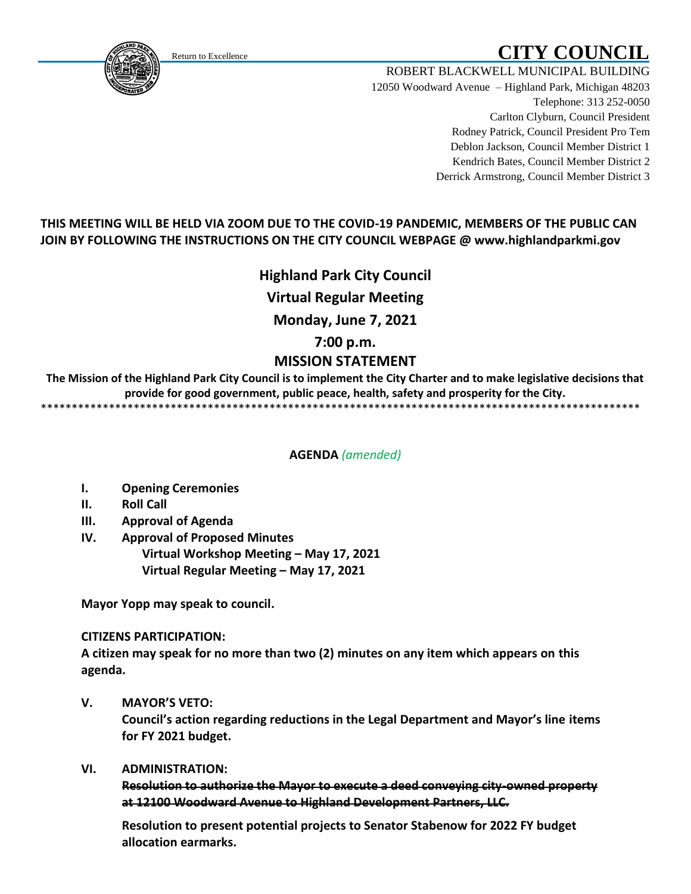# Return to Excellence **CITY COUNCIL**

<span id="page-0-0"></span>

ROBERT BLACKWELL MUNICIPAL BUILDING 12050 Woodward Avenue – Highland Park, Michigan 48203 Telephone: 313 252-0050 Carlton Clyburn, Council President Rodney Patrick, Council President Pro Tem Deblon Jackson, Council Member District 1 Kendrich Bates, Council Member District 2 Derrick Armstrong, Council Member District 3

# **THIS MEETING WILL BE HELD VIA ZOOM DUE TO THE COVID-19 PANDEMIC, MEMBERS OF THE PUBLIC CAN JOIN BY FOLLOWING THE INSTRUCTIONS ON THE CITY COUNCIL WEBPAGE @ www.highlandparkmi.gov**

**Highland Park City Council Virtual Regular Meeting Monday, June 7, 2021 7:00 p.m. MISSION STATEMENT**

**The Mission of the Highland Park City Council is to implement the City Charter and to make legislative decisions that provide for good government, public peace, health, safety and prosperity for the City.** \*\*\*\*\*\*\*\*\*\*\*\*\*\*\*\*\*\*\*\*\*\*\*\*\*\*\*\*\*\*\*\*\*\*\*\*\*\*\*\*\*\*\*\*\*\*\*\*\*\*\*\*\*\*\*\*\*\*\*\*\*\*\*\*\*\*\*\*\*\*\*\*\*\*\*\*\*\*\*\*\*\*\*\*\*\*\*\*\*\*\*\*\*\*\*\*\*

**AGENDA** *(amended)*

- **I. Opening Ceremonies**
- **II. Roll Call**
- **III. Approval of Agenda**
- **IV. Approval of Proposed Minutes Virtual Workshop Meeting – May 17, 2021 Virtual Regular Meeting – May 17, 2021**

**Mayor Yopp may speak to council.** 

#### **CITIZENS PARTICIPATION:**

**A citizen may speak for no more than two (2) minutes on any item which appears on this agenda.**

**V. MAYOR'S VETO:**

**Council's action regarding reductions in the Legal Department and Mayor's line items for FY 2021 budget.**

#### **VI. ADMINISTRATION:**

 **Resolution to authorize the Mayor to execute a deed conveying city-owned property at 12100 Woodward Avenue to Highland Development Partners, LLC.**

 **Resolution to present potential projects to Senator Stabenow for 2022 FY budget allocation earmarks.**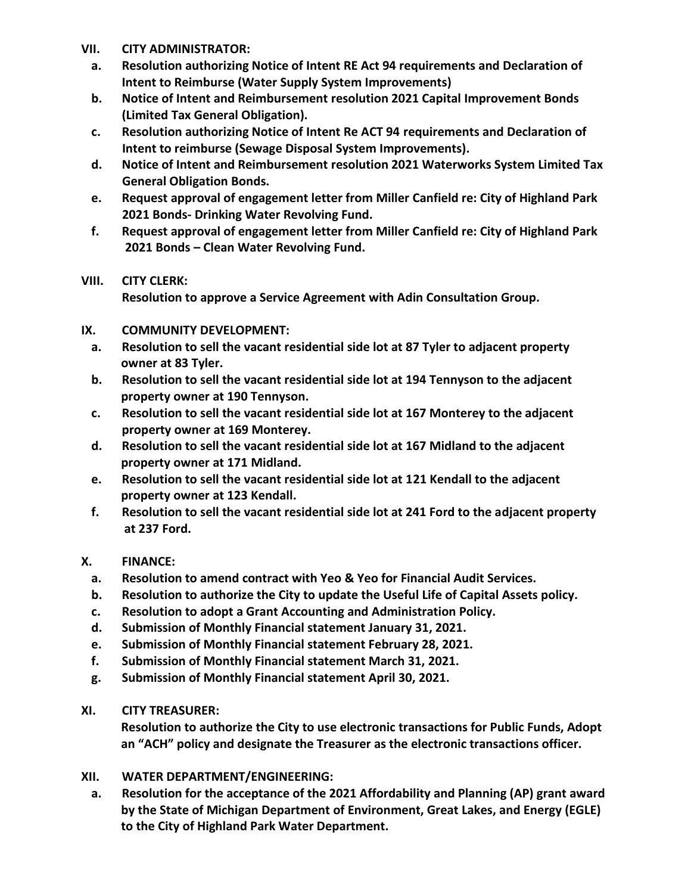- **VII. CITY ADMINISTRATOR:**
	- **a. Resolution authorizing Notice of Intent RE Act 94 requirements and Declaration of Intent to Reimburse (Water Supply System Improvements)**
	- **b. Notice of Intent and Reimbursement resolution 2021 Capital Improvement Bonds (Limited Tax General Obligation).**
	- **c. Resolution authorizing Notice of Intent Re ACT 94 requirements and Declaration of Intent to reimburse (Sewage Disposal System Improvements).**
	- **d. Notice of Intent and Reimbursement resolution 2021 Waterworks System Limited Tax General Obligation Bonds.**
	- **e. Request approval of engagement letter from Miller Canfield re: City of Highland Park 2021 Bonds- Drinking Water Revolving Fund.**
	- **f. Request approval of engagement letter from Miller Canfield re: City of Highland Park 2021 Bonds – Clean Water Revolving Fund.**

### **VIII. CITY CLERK:**

 **Resolution to approve a Service Agreement with Adin Consultation Group.**

### **IX. COMMUNITY DEVELOPMENT:**

- **a. Resolution to sell the vacant residential side lot at 87 Tyler to adjacent property owner at 83 Tyler.**
- **b. Resolution to sell the vacant residential side lot at 194 Tennyson to the adjacent property owner at 190 Tennyson.**
- **c. Resolution to sell the vacant residential side lot at 167 Monterey to the adjacent property owner at 169 Monterey.**
- **d. Resolution to sell the vacant residential side lot at 167 Midland to the adjacent property owner at 171 Midland.**
- **e. Resolution to sell the vacant residential side lot at 121 Kendall to the adjacent property owner at 123 Kendall.**
- **f. Resolution to sell the vacant residential side lot at 241 Ford to the adjacent property at 237 Ford.**

## **X. FINANCE:**

- **a. Resolution to amend contract with Yeo & Yeo for Financial Audit Services.**
- **b. Resolution to authorize the City to update the Useful Life of Capital Assets policy.**
- **c. Resolution to adopt a Grant Accounting and Administration Policy.**
- **d. Submission of Monthly Financial statement January 31, 2021.**
- **e. Submission of Monthly Financial statement February 28, 2021.**
- **f. Submission of Monthly Financial statement March 31, 2021.**
- **g. Submission of Monthly Financial statement April 30, 2021.**
- **XI. CITY TREASURER:**

 **Resolution to authorize the City to use electronic transactions for Public Funds, Adopt an "ACH" policy and designate the Treasurer as the electronic transactions officer.** 

- **XII. WATER DEPARTMENT/ENGINEERING:**
	- **a. Resolution for the acceptance of the 2021 Affordability and Planning (AP) grant award by the State of Michigan Department of Environment, Great Lakes, and Energy (EGLE) to the City of Highland Park Water Department.**